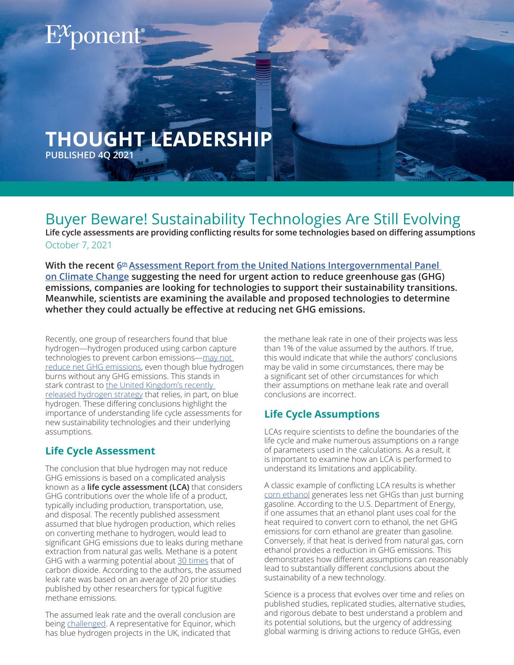# $\mathrm{E}^\chi$ ponent $^\bullet$

## **THOUGHT LEADERSHIP**

**PUBLISHED 4Q 2021**

### Buyer Beware! Sustainability Technologies Are Still Evolving

**Life cycle assessments are providing conflicting results for some technologies based on differing assumptions** October 7, 2021

**With the recent 6<sup>th</sup> Assessment Report from the United Nations Intergovernmental Panel [on Climate Change](https://www.exponent.com/knowledge/alerts/2021/08/2021-un-climate-report-ipcc-takeaways/?pageSize=NaN&pageNum=0&loadAllByPageSize=true) suggesting the need for urgent action to reduce greenhouse gas (GHG) emissions, companies are looking for technologies to support their sustainability transitions. Meanwhile, scientists are examining the available and proposed technologies to determine whether they could actually be effective at reducing net GHG emissions.** 

Recently, one group of researchers found that blue hydrogen—hydrogen produced using carbon capture technologies to prevent carbon emissions-may not [reduce net GHG emissions](https://onlinelibrary.wiley.com/doi/pdf/10.1002/ese3.956), even though blue hydrogen burns without any GHG emissions. This stands in stark contrast to the United Kingdom's recently [released hydrogen strategy](https://www.theguardian.com/environment/2021/aug/17/uk-homes-low-carbon-hydrogen-economy-jobs) that relies, in part, on blue hydrogen. These differing conclusions highlight the importance of understanding life cycle assessments for new sustainability technologies and their underlying assumptions.

#### **Life Cycle Assessment**

The conclusion that blue hydrogen may not reduce GHG emissions is based on a complicated analysis known as a **life cycle assessment (LCA)** that considers GHG contributions over the whole life of a product, typically including production, transportation, use, and disposal. The recently published assessment assumed that blue hydrogen production, which relies on converting methane to hydrogen, would lead to significant GHG emissions due to leaks during methane extraction from natural gas wells. Methane is a potent GHG with a warming potential about [30 times](https://www.epa.gov/ghgemissions/understanding-global-warming-potentials) that of carbon dioxide. According to the authors, the assumed leak rate was based on an average of 20 prior studies published by other researchers for typical fugitive methane emissions.

The assumed leak rate and the overall conclusion are being [challenged](https://www.upstreamonline.com/hydrogen/industry-fires-back-at-landmark-study-claim-that-blue-hydrogen-is-worse-than-natural-gas/2-1-1052743). A representative for Equinor, which has blue hydrogen projects in the UK, indicated that

the methane leak rate in one of their projects was less than 1% of the value assumed by the authors. If true, this would indicate that while the authors' conclusions may be valid in some circumstances, there may be a significant set of other circumstances for which their assumptions on methane leak rate and overall conclusions are incorrect.

#### **Life Cycle Assumptions**

LCAs require scientists to define the boundaries of the life cycle and make numerous assumptions on a range of parameters used in the calculations. As a result, it is important to examine how an LCA is performed to understand its limitations and applicability.

A classic example of conflicting LCA results is whether [corn ethanol](https://www.usda.gov/media/blog/2019/04/02/building-evidence-corn-ethanols-greenhouse-gas-profile) generates less net GHGs than just burning gasoline. According to the U.S. Department of Energy, if one assumes that an ethanol plant uses coal for the heat required to convert corn to ethanol, the net GHG emissions for corn ethanol are greater than gasoline. Conversely, if that heat is derived from natural gas, corn ethanol provides a reduction in GHG emissions. This demonstrates how different assumptions can reasonably lead to substantially different conclusions about the sustainability of a new technology.

Science is a process that evolves over time and relies on published studies, replicated studies, alternative studies, and rigorous debate to best understand a problem and its potential solutions, but the urgency of addressing global warming is driving actions to reduce GHGs, even